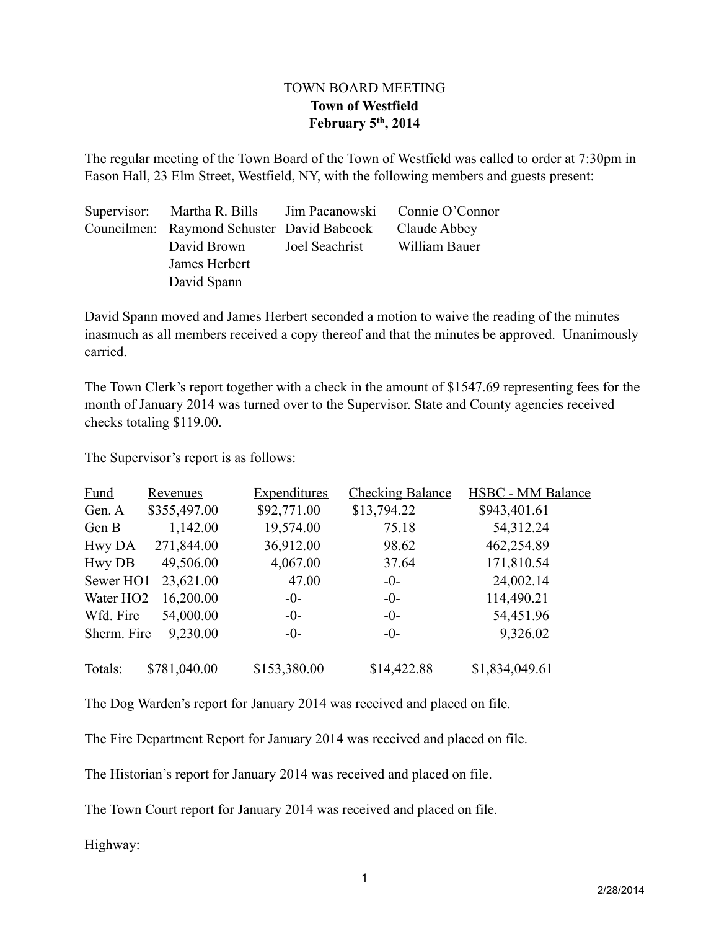## TOWN BOARD MEETING **Town of Westfield February 5th, 2014**

The regular meeting of the Town Board of the Town of Westfield was called to order at 7:30pm in Eason Hall, 23 Elm Street, Westfield, NY, with the following members and guests present:

| Supervisor: Martha R. Bills Jim Pacanowski Connie O'Connor |                |               |
|------------------------------------------------------------|----------------|---------------|
| Councilmen: Raymond Schuster David Babcock                 |                | Claude Abbey  |
| David Brown                                                | Joel Seachrist | William Bauer |
| James Herbert                                              |                |               |
| David Spann                                                |                |               |

David Spann moved and James Herbert seconded a motion to waive the reading of the minutes inasmuch as all members received a copy thereof and that the minutes be approved. Unanimously carried.

The Town Clerk's report together with a check in the amount of \$1547.69 representing fees for the month of January 2014 was turned over to the Supervisor. State and County agencies received checks totaling \$119.00.

The Supervisor's report is as follows:

| <b>Fund</b>           | <u>Revenues</u> | <b>Expenditures</b> | <b>Checking Balance</b> | <b>HSBC - MM Balance</b> |
|-----------------------|-----------------|---------------------|-------------------------|--------------------------|
| Gen. A                | \$355,497.00    | \$92,771.00         | \$13,794.22             | \$943,401.61             |
| Gen B                 | 1,142.00        | 19,574.00           | 75.18                   | 54,312.24                |
| Hwy DA                | 271,844.00      | 36,912.00           | 98.62                   | 462,254.89               |
| <b>Hwy DB</b>         | 49,506.00       | 4,067.00            | 37.64                   | 171,810.54               |
| Sewer HO1             | 23,621.00       | 47.00               | $-0-$                   | 24,002.14                |
| Water HO <sub>2</sub> | 16,200.00       | $-0-$               | $-0-$                   | 114,490.21               |
| Wfd. Fire             | 54,000.00       | $-0-$               | $-0-$                   | 54,451.96                |
| Sherm. Fire           | 9,230.00        | $-0-$               | $-0-$                   | 9,326.02                 |
| Totals:               | \$781,040.00    | \$153,380.00        | \$14,422.88             | \$1,834,049.61           |

The Dog Warden's report for January 2014 was received and placed on file.

The Fire Department Report for January 2014 was received and placed on file.

The Historian's report for January 2014 was received and placed on file.

The Town Court report for January 2014 was received and placed on file.

Highway: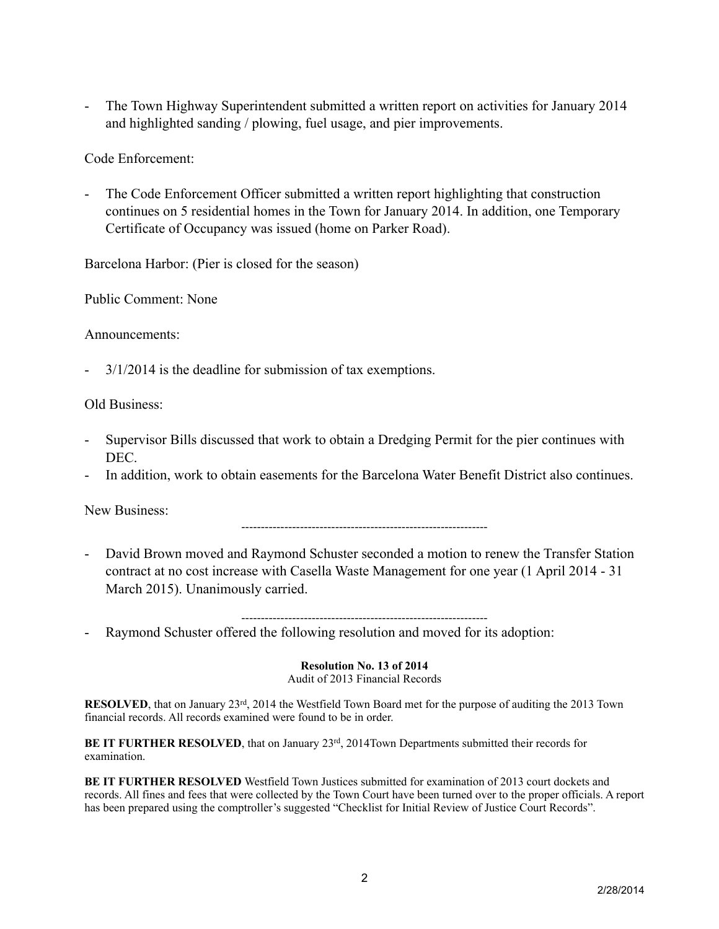- The Town Highway Superintendent submitted a written report on activities for January 2014 and highlighted sanding / plowing, fuel usage, and pier improvements.

Code Enforcement:

The Code Enforcement Officer submitted a written report highlighting that construction continues on 5 residential homes in the Town for January 2014. In addition, one Temporary Certificate of Occupancy was issued (home on Parker Road).

Barcelona Harbor: (Pier is closed for the season)

Public Comment: None

Announcements:

- 3/1/2014 is the deadline for submission of tax exemptions.

Old Business:

- Supervisor Bills discussed that work to obtain a Dredging Permit for the pier continues with DEC.
- In addition, work to obtain easements for the Barcelona Water Benefit District also continues.

New Business:

---------------------------------------------------------------

- David Brown moved and Raymond Schuster seconded a motion to renew the Transfer Station contract at no cost increase with Casella Waste Management for one year (1 April 2014 - 31 March 2015). Unanimously carried.
- Raymond Schuster offered the following resolution and moved for its adoption:

## **Resolution No. 13 of 2014**

---------------------------------------------------------------

Audit of 2013 Financial Records

**RESOLVED**, that on January 23rd, 2014 the Westfield Town Board met for the purpose of auditing the 2013 Town financial records. All records examined were found to be in order.

**BE IT FURTHER RESOLVED**, that on January 23<sup>rd</sup>, 2014Town Departments submitted their records for examination.

**BE IT FURTHER RESOLVED** Westfield Town Justices submitted for examination of 2013 court dockets and records. All fines and fees that were collected by the Town Court have been turned over to the proper officials. A report has been prepared using the comptroller's suggested "Checklist for Initial Review of Justice Court Records".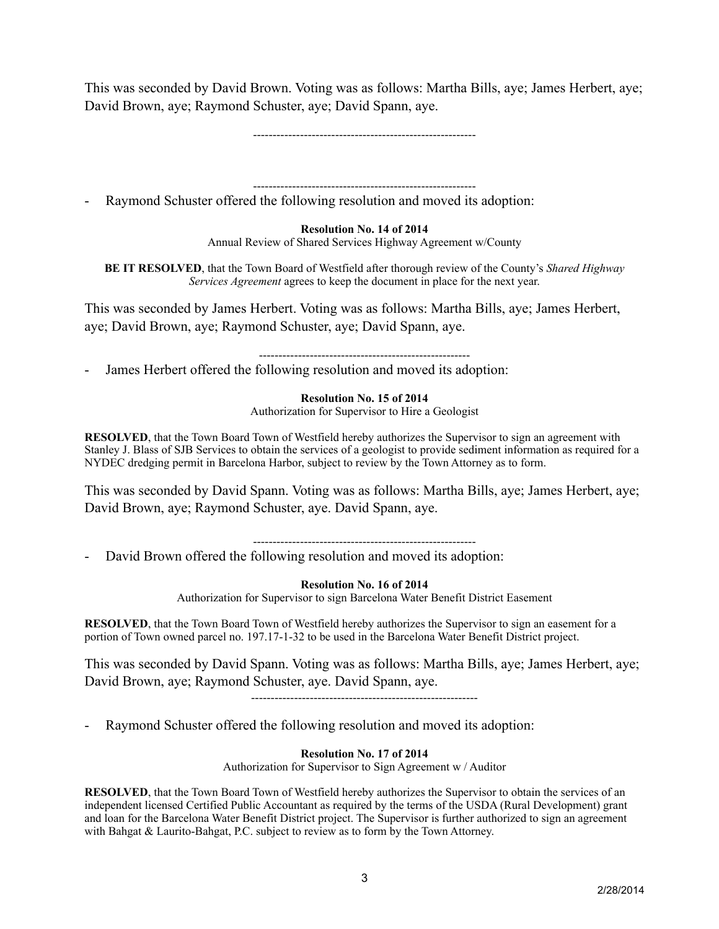This was seconded by David Brown. Voting was as follows: Martha Bills, aye; James Herbert, aye; David Brown, aye; Raymond Schuster, aye; David Spann, aye.

---------------------------------------------------------

---------------------------------------------------------

Raymond Schuster offered the following resolution and moved its adoption:

## **Resolution No. 14 of 2014**

Annual Review of Shared Services Highway Agreement w/County

**BE IT RESOLVED**, that the Town Board of Westfield after thorough review of the County's *Shared Highway Services Agreement* agrees to keep the document in place for the next year.

This was seconded by James Herbert. Voting was as follows: Martha Bills, aye; James Herbert, aye; David Brown, aye; Raymond Schuster, aye; David Spann, aye.

------------------------------------------------------

James Herbert offered the following resolution and moved its adoption:

**Resolution No. 15 of 2014**

Authorization for Supervisor to Hire a Geologist

**RESOLVED**, that the Town Board Town of Westfield hereby authorizes the Supervisor to sign an agreement with Stanley J. Blass of SJB Services to obtain the services of a geologist to provide sediment information as required for a NYDEC dredging permit in Barcelona Harbor, subject to review by the Town Attorney as to form.

This was seconded by David Spann. Voting was as follows: Martha Bills, aye; James Herbert, aye; David Brown, aye; Raymond Schuster, aye. David Spann, aye.

---------------------------------------------------------

David Brown offered the following resolution and moved its adoption:

**Resolution No. 16 of 2014**

Authorization for Supervisor to sign Barcelona Water Benefit District Easement

**RESOLVED**, that the Town Board Town of Westfield hereby authorizes the Supervisor to sign an easement for a portion of Town owned parcel no. 197.17-1-32 to be used in the Barcelona Water Benefit District project.

This was seconded by David Spann. Voting was as follows: Martha Bills, aye; James Herbert, aye; David Brown, aye; Raymond Schuster, aye. David Spann, aye.

----------------------------------------------------------

Raymond Schuster offered the following resolution and moved its adoption:

## **Resolution No. 17 of 2014**

Authorization for Supervisor to Sign Agreement w / Auditor

**RESOLVED**, that the Town Board Town of Westfield hereby authorizes the Supervisor to obtain the services of an independent licensed Certified Public Accountant as required by the terms of the USDA (Rural Development) grant and loan for the Barcelona Water Benefit District project. The Supervisor is further authorized to sign an agreement with Bahgat & Laurito-Bahgat, P.C. subject to review as to form by the Town Attorney.